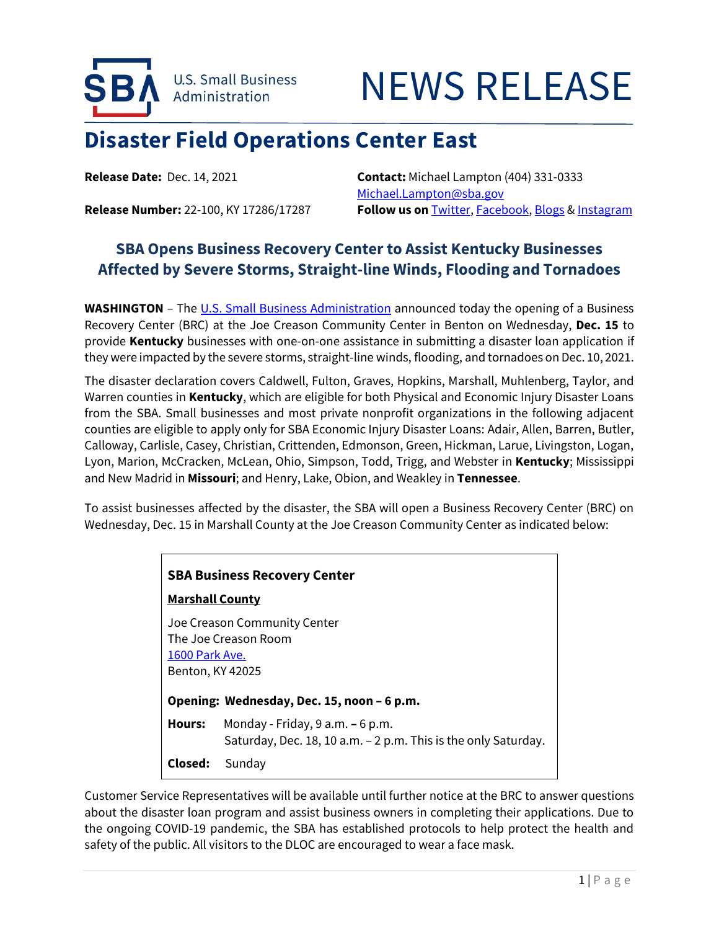

## NEWS RELEASE

## **Disaster Field Operations Center East**

**Release Date:** Dec. 14, 2021 **Contact:** Michael Lampton (404) 331-0333 [Michael.Lampton@sba.gov](mailto:Michael.Lampton@sba.gov) **Release Number:** 22-100, KY 17286/17287 **Follow us on** [Twitter,](http://www.twitter.com/SBAgov) [Facebook,](http://www.facebook.com/sbagov) [Blogs](http://www.sba.gov/blogs) & [Instagram](https://www.instagram.com/sbagov/)

## **SBA Opens Business Recovery Center to Assist Kentucky Businesses Affected by Severe Storms, Straight-line Winds, Flooding and Tornadoes**

**WASHINGTON** – The U.S. [Small Business Administration](https://www.sba.gov/) announced today the opening of a Business Recovery Center (BRC) at the Joe Creason Community Center in Benton on Wednesday, **Dec. 15** to provide **Kentucky** businesses with one-on-one assistance in submitting a disaster loan application if they were impacted by the severe storms, straight-line winds, flooding, and tornadoes on Dec. 10, 2021.

The disaster declaration covers Caldwell, Fulton, Graves, Hopkins, Marshall, Muhlenberg, Taylor, and Warren counties in **Kentucky**, which are eligible for both Physical and Economic Injury Disaster Loans from the SBA. Small businesses and most private nonprofit organizations in the following adjacent counties are eligible to apply only for SBA Economic Injury Disaster Loans: Adair, Allen, Barren, Butler, Calloway, Carlisle, Casey, Christian, Crittenden, Edmonson, Green, Hickman, Larue, Livingston, Logan, Lyon, Marion, McCracken, McLean, Ohio, Simpson, Todd, Trigg, and Webster in **Kentucky**; Mississippi and New Madrid in **Missouri**; and Henry, Lake, Obion, and Weakley in **Tennessee**.

To assist businesses affected by the disaster, the SBA will open a Business Recovery Center (BRC) on Wednesday, Dec. 15 in Marshall County at the Joe Creason Community Center as indicated below:

| <b>SBA Business Recovery Center</b> |                                                                                                                                                 |  |
|-------------------------------------|-------------------------------------------------------------------------------------------------------------------------------------------------|--|
|                                     | <b>Marshall County</b>                                                                                                                          |  |
|                                     | Joe Creason Community Center<br>The Joe Creason Room<br>1600 Park Ave.<br><b>Benton, KY 42025</b><br>Opening: Wednesday, Dec. 15, noon - 6 p.m. |  |
|                                     |                                                                                                                                                 |  |
| Hours:                              | Monday - Friday, $9$ a.m. $-6$ p.m.<br>Saturday, Dec. 18, 10 a.m. – 2 p.m. This is the only Saturday.                                           |  |
| Closed:                             | Sunday                                                                                                                                          |  |

Customer Service Representatives will be available until further notice at the BRC to answer questions about the disaster loan program and assist business owners in completing their applications. Due to the ongoing COVID-19 pandemic, the SBA has established protocols to help protect the health and safety of the public. All visitors to the DLOC are encouraged to wear a face mask.